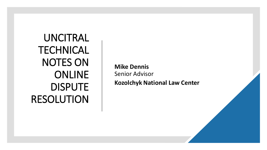UNCITRAL **TECHNICAL** NOTES ON ONLINE DISPUTE RESOLUTION

**Mike Dennis** Senior Advisor **Kozolchyk National Law Center**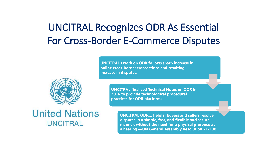# UNCITRAL Recognizes ODR As Essential For Cross-Border E-Commerce Disputes

**UNCITRAL's work on ODR follows sharp increase in online cross-border transactions and resulting increase in disputes.** 



**UNCITRAL finalized Technical Notes on ODR in 2016 to provide technological procedural practices for ODR platforms.**

**United Nations UNCITRAL** 

**UNCITRAL ODR… help[s] buyers and sellers resolve disputes in a simple, fast, and flexible and secure manner, without the need for a physical presence at a hearing —UN General Assembly Resolution 71/138**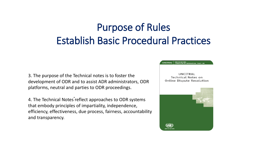# Purpose of Rules Establish Basic Procedural Practices

3. The purpose of the Technical notes is to foster the development of ODR and to assist ADR administrators, ODR platforms, neutral and parties to ODR proceedings.

.<br>.<br>. 4. The Technical Notes reflect approaches to ODR systems that embody principles of impartiality, independence, efficiency, effectiveness, due process, fairness, accountability and transparency.

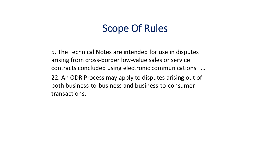#### Scope Of Rules

5. The Technical Notes are intended for use in disputes arising from cross-border low-value sales or service contracts concluded using electronic communications. … 22. An ODR Process may apply to disputes arising out of both business-to-business and business-to-consumer transactions.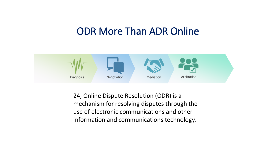## ODR More Than ADR Online



24, Online Dispute Resolution (ODR) is a mechanism for resolving disputes through the use of electronic communications and other information and communications technology.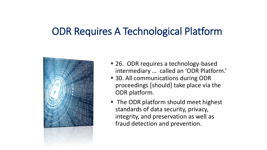# ODR Requires A Technological Platform

![](_page_5_Picture_1.jpeg)

- 26. ODR requires a technology-based intermediary … called an 'ODR Platform.'
- 30. All communications during ODR proceedings [should] take place via the ODR platform.
- The ODR platform should meet highest standards of data security, privacy, integrity, and preservation as well as fraud detection and prevention.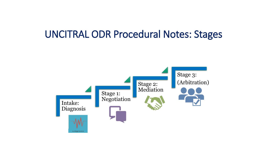#### UNCITRAL ODR Procedural Notes: Stages

![](_page_6_Figure_1.jpeg)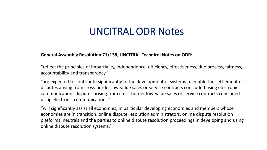## UNCITRAL ODR Notes

#### **General Assembly Resolution 71/138, UNCITRAL Technical Notes on ODR:**

"reflect the principles of impartiality, independence, efficiency, effectiveness, due process, fairness, accountability and transparency."

"are expected to contribute significantly to the development of systems to enable the settlement of disputes arising from cross-border low-value sales or service contracts concluded using electronic communications disputes arising from cross-border low-value sales or service contracts concluded using electronic communications."

"will significantly assist all economies, in particular developing economies and members whose economies are in transition, online dispute resolution administrators, online dispute resolution platforms, neutrals and the parties to online dispute resolution proceedings in developing and using online dispute resolution systems."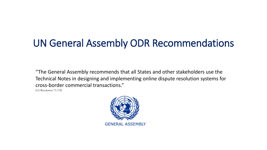# UN General Assembly ODR Recommendations

"The General Assembly recommends that all States and other stakeholders use the Technical Notes in designing and implementing online dispute resolution systems for cross-border commercial transactions."

GA Resolution 71/138.

![](_page_8_Picture_3.jpeg)